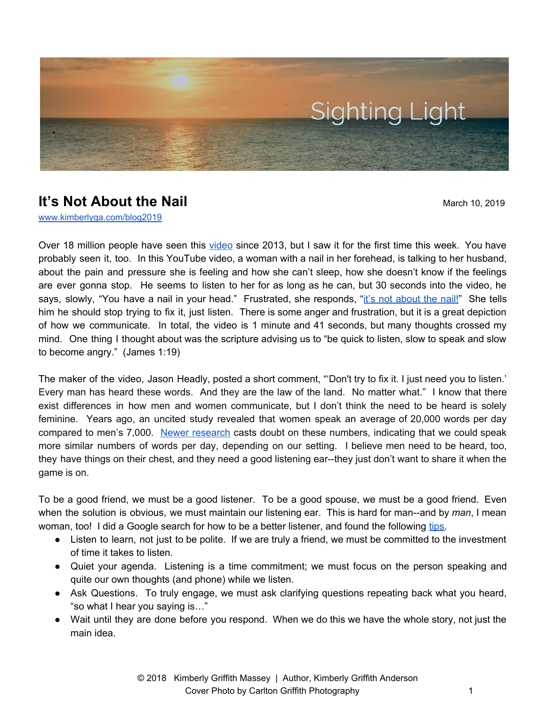

## **It's Not About the Nail** March 10, 2019

[www.kimberlyga.com/blog2019](http://www.kimberlyga.com/blog)

Over 18 million people have seen this [video](https://www.youtube.com/watch?v=-4EDhdAHrOg) since 2013, but I saw it for the first time this week. You have probably seen it, too. In this YouTube video, a woman with a nail in her forehead, is talking to her husband, about the pain and pressure she is feeling and how she can't sleep, how she doesn't know if the feelings are ever gonna stop. He seems to listen to her for as long as he can, but 30 seconds into the video, he says, slowly, "You have a nail in your head." Frustrated, she responds, "it's not [about](https://www.youtube.com/watch?v=-4EDhdAHrOg&list=RD-4EDhdAHrOg&start_radio=1&t=99) the nail!" She tells him he should stop trying to fix it, just listen. There is some anger and frustration, but it is a great depiction of how we communicate. In total, the video is 1 minute and 41 seconds, but many thoughts crossed my mind. One thing I thought about was the scripture advising us to "be quick to listen, slow to speak and slow to become angry." (James 1:19)

The maker of the video, Jason Headly, posted a short comment, "'Don't try to fix it. I just need you to listen.' Every man has heard these words. And they are the law of the land. No matter what." I know that there exist differences in how men and women communicate, but I don't think the need to be heard is solely feminine. Years ago, an uncited study revealed that women speak an average of 20,000 words per day compared to men's 7,000. Newer [research](http://time.com/2992051/women-talk-more-study/) casts doubt on these numbers, indicating that we could speak more similar numbers of words per day, depending on our setting. I believe men need to be heard, too, they have things on their chest, and they need a good listening ear--they just don't want to share it when the game is on.

To be a good friend, we must be a good listener. To be a good spouse, we must be a good friend. Even when the solution is obvious, we must maintain our listening ear. This is hard for man--and by *man*, I mean woman, too! I did a Google search for how to be a better listener, and found the following [tips.](https://www.fastcompany.com/3068959/6-ways-to-become-a-better-listener)

- Listen to learn, not just to be polite. If we are truly a friend, we must be committed to the investment of time it takes to listen.
- Quiet your agenda. Listening is a time commitment; we must focus on the person speaking and quite our own thoughts (and phone) while we listen.
- Ask Questions. To truly engage, we must ask clarifying questions repeating back what you heard, "so what I hear you saying is…"
- Wait until they are done before you respond. When we do this we have the whole story, not just the main idea.